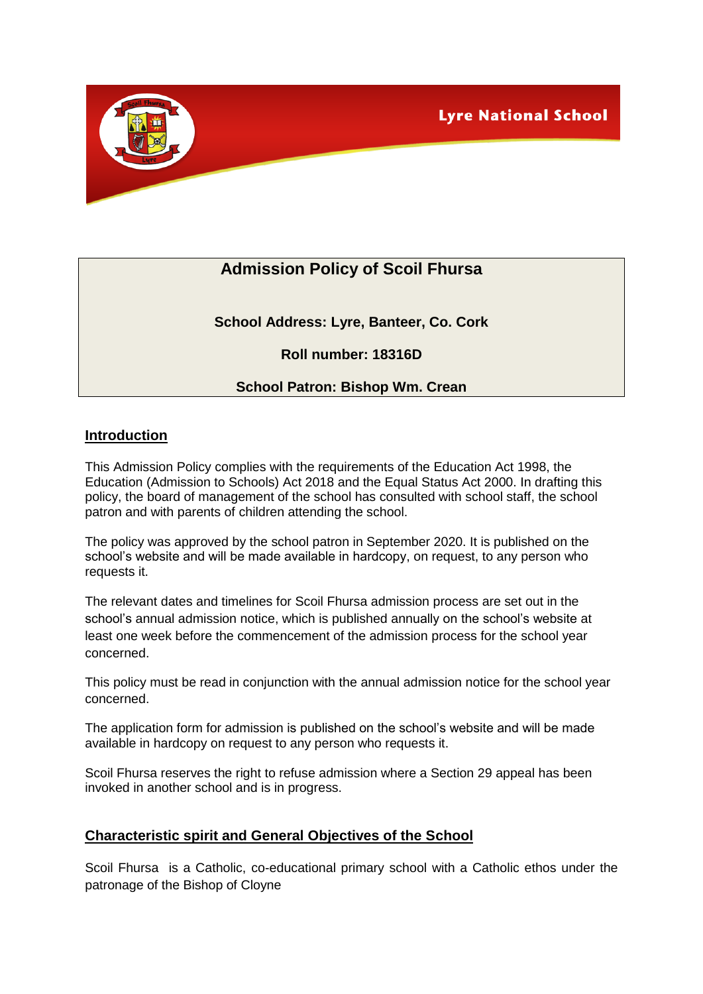**Lyre National School** 



# **Admission Policy of Scoil Fhursa**

**School Address: Lyre, Banteer, Co. Cork**

**Roll number: 18316D**

# **School Patron: Bishop Wm. Crean**

## **Introduction**

This Admission Policy complies with the requirements of the Education Act 1998, the Education (Admission to Schools) Act 2018 and the Equal Status Act 2000. In drafting this policy, the board of management of the school has consulted with school staff, the school patron and with parents of children attending the school.

The policy was approved by the school patron in September 2020. It is published on the school's website and will be made available in hardcopy, on request, to any person who requests it.

The relevant dates and timelines for Scoil Fhursa admission process are set out in the school's annual admission notice, which is published annually on the school's website at least one week before the commencement of the admission process for the school year concerned.

This policy must be read in conjunction with the annual admission notice for the school year concerned.

The application form for admission is published on the school's website and will be made available in hardcopy on request to any person who requests it.

Scoil Fhursa reserves the right to refuse admission where a Section 29 appeal has been invoked in another school and is in progress.

# **Characteristic spirit and General Objectives of the School**

Scoil Fhursa is a Catholic, co-educational primary school with a Catholic ethos under the patronage of the Bishop of Cloyne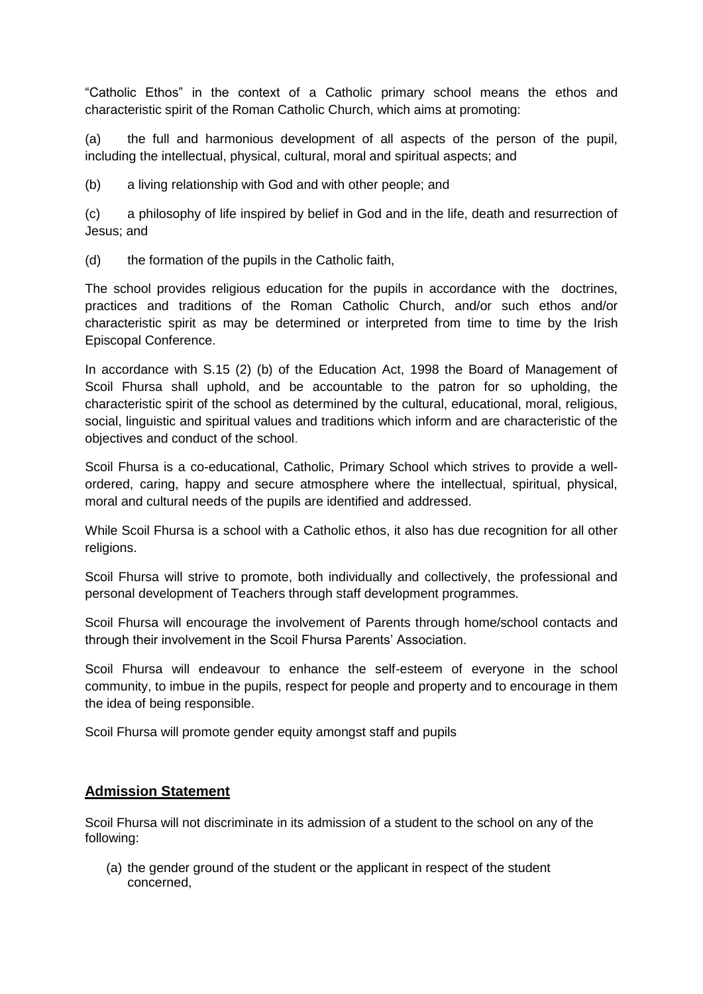"Catholic Ethos" in the context of a Catholic primary school means the ethos and characteristic spirit of the Roman Catholic Church, which aims at promoting:

(a) the full and harmonious development of all aspects of the person of the pupil, including the intellectual, physical, cultural, moral and spiritual aspects; and

(b) a living relationship with God and with other people; and

(c) a philosophy of life inspired by belief in God and in the life, death and resurrection of Jesus; and

(d) the formation of the pupils in the Catholic faith,

The school provides religious education for the pupils in accordance with the doctrines, practices and traditions of the Roman Catholic Church, and/or such ethos and/or characteristic spirit as may be determined or interpreted from time to time by the Irish Episcopal Conference.

In accordance with S.15 (2) (b) of the Education Act, 1998 the Board of Management of Scoil Fhursa shall uphold, and be accountable to the patron for so upholding, the characteristic spirit of the school as determined by the cultural, educational, moral, religious, social, linguistic and spiritual values and traditions which inform and are characteristic of the objectives and conduct of the school.

Scoil Fhursa is a co-educational, Catholic, Primary School which strives to provide a wellordered, caring, happy and secure atmosphere where the intellectual, spiritual, physical, moral and cultural needs of the pupils are identified and addressed.

While Scoil Fhursa is a school with a Catholic ethos, it also has due recognition for all other religions.

Scoil Fhursa will strive to promote, both individually and collectively, the professional and personal development of Teachers through staff development programmes.

Scoil Fhursa will encourage the involvement of Parents through home/school contacts and through their involvement in the Scoil Fhursa Parents' Association.

Scoil Fhursa will endeavour to enhance the self-esteem of everyone in the school community, to imbue in the pupils, respect for people and property and to encourage in them the idea of being responsible.

Scoil Fhursa will promote gender equity amongst staff and pupils

# **Admission Statement**

Scoil Fhursa will not discriminate in its admission of a student to the school on any of the following:

(a) the gender ground of the student or the applicant in respect of the student concerned,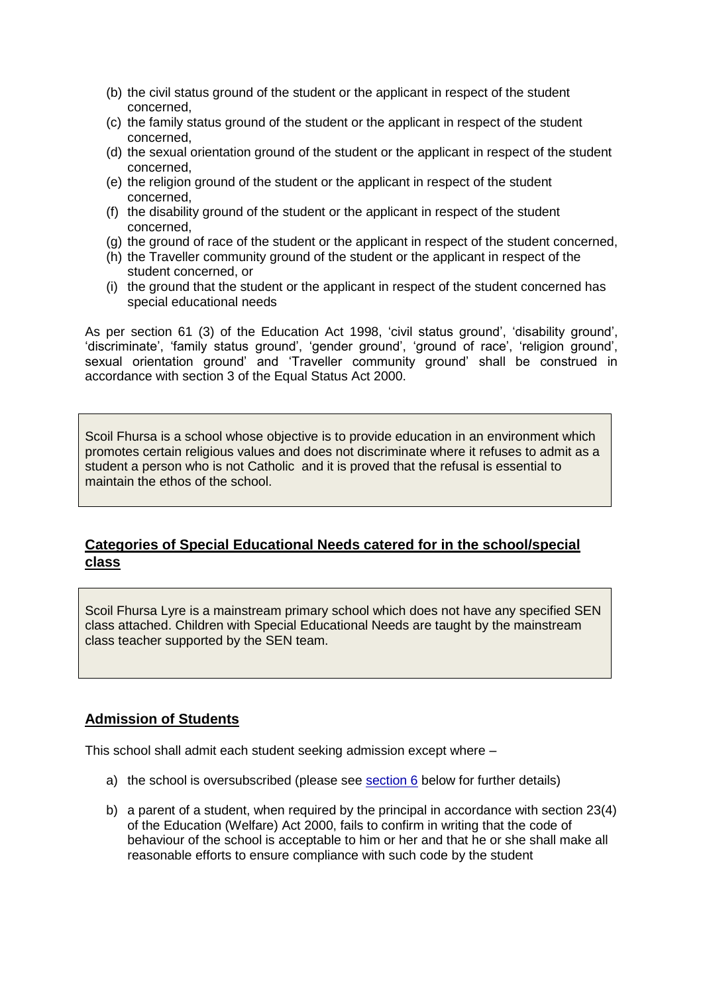- (b) the civil status ground of the student or the applicant in respect of the student concerned,
- (c) the family status ground of the student or the applicant in respect of the student concerned,
- (d) the sexual orientation ground of the student or the applicant in respect of the student concerned,
- (e) the religion ground of the student or the applicant in respect of the student concerned,
- (f) the disability ground of the student or the applicant in respect of the student concerned,
- (g) the ground of race of the student or the applicant in respect of the student concerned,
- (h) the Traveller community ground of the student or the applicant in respect of the student concerned, or
- (i) the ground that the student or the applicant in respect of the student concerned has special educational needs

As per section 61 (3) of the Education Act 1998, 'civil status ground', 'disability ground', 'discriminate', 'family status ground', 'gender ground', 'ground of race', 'religion ground', sexual orientation ground' and 'Traveller community ground' shall be construed in accordance with section 3 of the Equal Status Act 2000.

Scoil Fhursa is a school whose objective is to provide education in an environment which promotes certain religious values and does not discriminate where it refuses to admit as a student a person who is not Catholic and it is proved that the refusal is essential to maintain the ethos of the school.

# **Categories of Special Educational Needs catered for in the school/special class**

Scoil Fhursa Lyre is a mainstream primary school which does not have any specified SEN class attached. Children with Special Educational Needs are taught by the mainstream class teacher supported by the SEN team.

## **Admission of Students**

This school shall admit each student seeking admission except where –

- a) the school is oversubscribed (please see section 6 below for further details)
- b) a parent of a student, when required by the principal in accordance with section 23(4) of the Education (Welfare) Act 2000, fails to confirm in writing that the code of behaviour of the school is acceptable to him or her and that he or she shall make all reasonable efforts to ensure compliance with such code by the student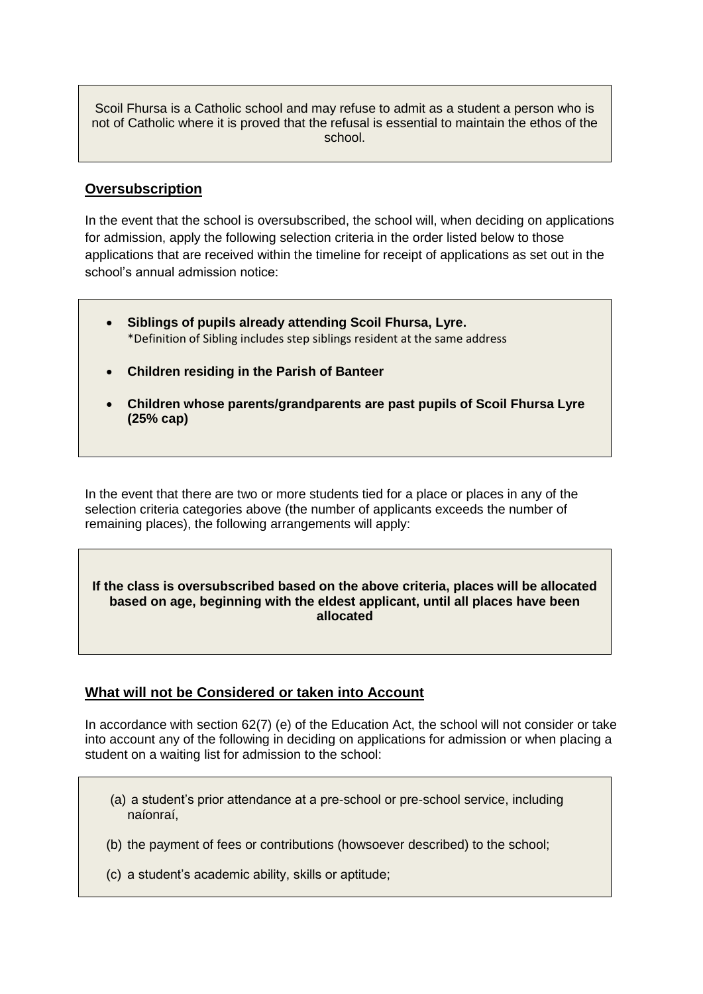Scoil Fhursa is a Catholic school and may refuse to admit as a student a person who is not of Catholic where it is proved that the refusal is essential to maintain the ethos of the school.

# **Oversubscription**

In the event that the school is oversubscribed, the school will, when deciding on applications for admission, apply the following selection criteria in the order listed below to those applications that are received within the timeline for receipt of applications as set out in the school's annual admission notice:

- **Siblings of pupils already attending Scoil Fhursa, Lyre.**  \*Definition of Sibling includes step siblings resident at the same address
- **Children residing in the Parish of Banteer**
- **Children whose parents/grandparents are past pupils of Scoil Fhursa Lyre (25% cap)**

In the event that there are two or more students tied for a place or places in any of the selection criteria categories above (the number of applicants exceeds the number of remaining places), the following arrangements will apply:

#### **If the class is oversubscribed based on the above criteria, places will be allocated based on age, beginning with the eldest applicant, until all places have been allocated**

## **What will not be Considered or taken into Account**

In accordance with section 62(7) (e) of the Education Act, the school will not consider or take into account any of the following in deciding on applications for admission or when placing a student on a waiting list for admission to the school:

- (a) a student's prior attendance at a pre-school or pre-school service, including naíonraí,
- (b) the payment of fees or contributions (howsoever described) to the school;
- (c) a student's academic ability, skills or aptitude;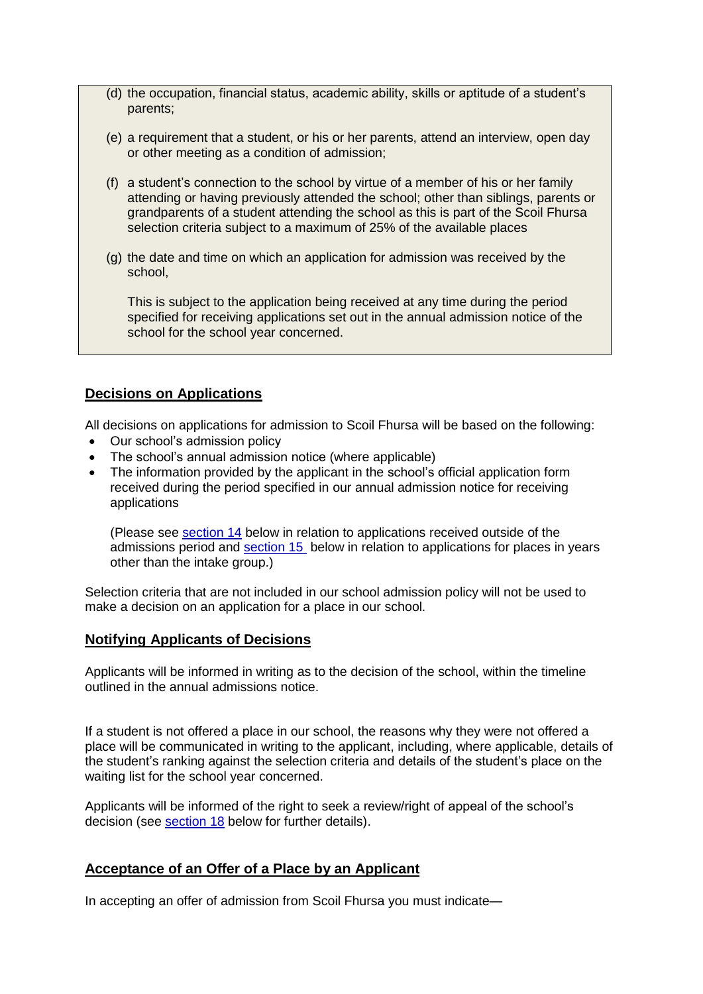- (d) the occupation, financial status, academic ability, skills or aptitude of a student's parents;
- (e) a requirement that a student, or his or her parents, attend an interview, open day or other meeting as a condition of admission;
- (f) a student's connection to the school by virtue of a member of his or her family attending or having previously attended the school; other than siblings, parents or grandparents of a student attending the school as this is part of the Scoil Fhursa selection criteria subject to a maximum of 25% of the available places
- (g) the date and time on which an application for admission was received by the school,

This is subject to the application being received at any time during the period specified for receiving applications set out in the annual admission notice of the school for the school year concerned.

# **Decisions on Applications**

All decisions on applications for admission to Scoil Fhursa will be based on the following:

- Our school's admission policy
- The school's annual admission notice (where applicable)
- The information provided by the applicant in the school's official application form received during the period specified in our annual admission notice for receiving applications

(Please see section 14 below in relation to applications received outside of the admissions period and [section 15](#page-7-0) below in relation to applications for places in years other than the intake group.)

Selection criteria that are not included in our school admission policy will not be used to make a decision on an application for a place in our school.

## **Notifying Applicants of Decisions**

Applicants will be informed in writing as to the decision of the school, within the timeline outlined in the annual admissions notice.

If a student is not offered a place in our school, the reasons why they were not offered a place will be communicated in writing to the applicant, including, where applicable, details of the student's ranking against the selection criteria and details of the student's place on the waiting list for the school year concerned.

Applicants will be informed of the right to seek a review/right of appeal of the school's decision (see [section 18](#page-7-1) below for further details).

## <span id="page-4-0"></span>**Acceptance of an Offer of a Place by an Applicant**

In accepting an offer of admission from Scoil Fhursa you must indicate—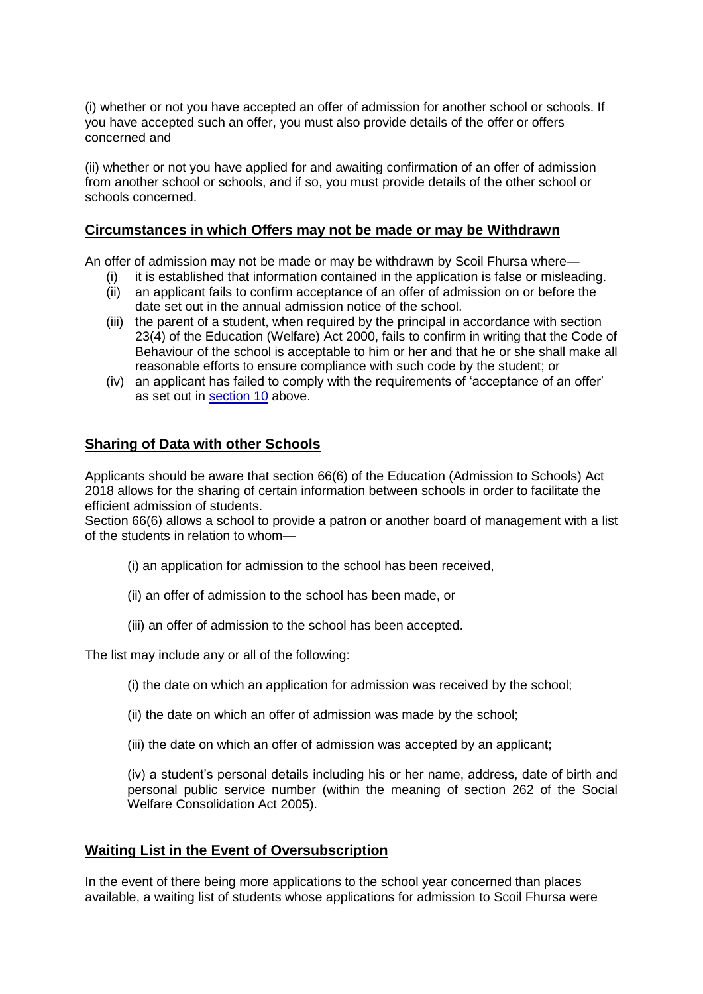(i) whether or not you have accepted an offer of admission for another school or schools. If you have accepted such an offer, you must also provide details of the offer or offers concerned and

(ii) whether or not you have applied for and awaiting confirmation of an offer of admission from another school or schools, and if so, you must provide details of the other school or schools concerned.

#### **Circumstances in which Offers may not be made or may be Withdrawn**

An offer of admission may not be made or may be withdrawn by Scoil Fhursa where—

- (i) it is established that information contained in the application is false or misleading.
- (ii) an applicant fails to confirm acceptance of an offer of admission on or before the date set out in the annual admission notice of the school.
- (iii) the parent of a student, when required by the principal in accordance with section 23(4) of the Education (Welfare) Act 2000, fails to confirm in writing that the Code of Behaviour of the school is acceptable to him or her and that he or she shall make all reasonable efforts to ensure compliance with such code by the student; or
- (iv) an applicant has failed to comply with the requirements of 'acceptance of an offer' as set out in [section 10](#page-4-0) above.

#### **Sharing of Data with other Schools**

Applicants should be aware that section 66(6) of the Education (Admission to Schools) Act 2018 allows for the sharing of certain information between schools in order to facilitate the efficient admission of students.

Section 66(6) allows a school to provide a patron or another board of management with a list of the students in relation to whom—

- (i) an application for admission to the school has been received,
- (ii) an offer of admission to the school has been made, or
- (iii) an offer of admission to the school has been accepted.

The list may include any or all of the following:

- (i) the date on which an application for admission was received by the school;
- (ii) the date on which an offer of admission was made by the school;
- (iii) the date on which an offer of admission was accepted by an applicant;

(iv) a student's personal details including his or her name, address, date of birth and personal public service number (within the meaning of section 262 of the Social Welfare Consolidation Act 2005).

#### **Waiting List in the Event of Oversubscription**

In the event of there being more applications to the school year concerned than places available, a waiting list of students whose applications for admission to Scoil Fhursa were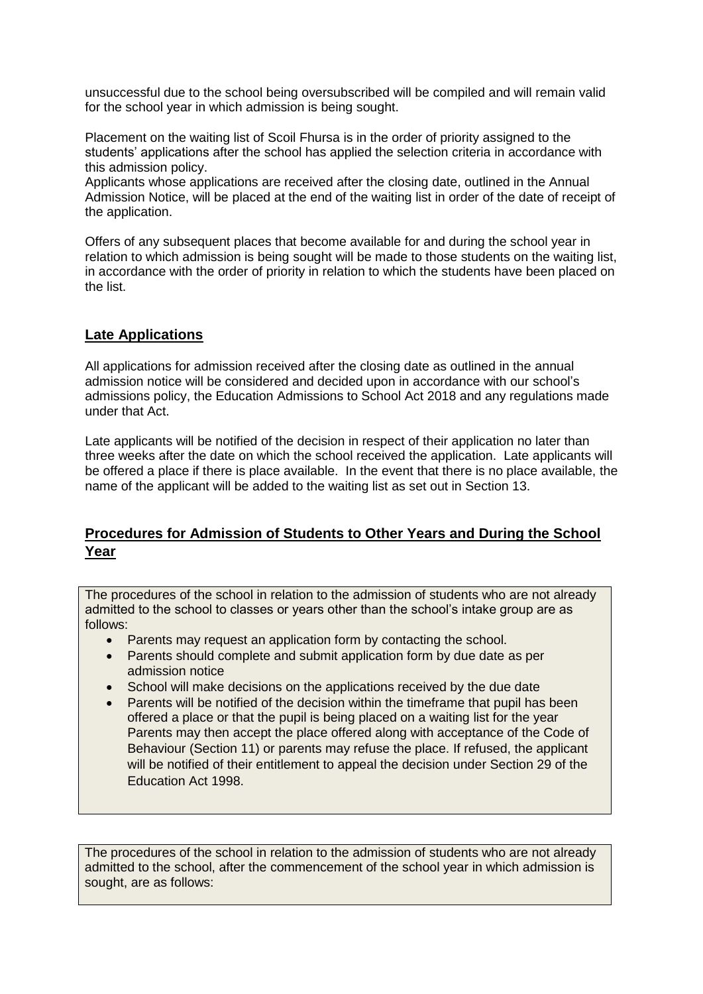unsuccessful due to the school being oversubscribed will be compiled and will remain valid for the school year in which admission is being sought.

Placement on the waiting list of Scoil Fhursa is in the order of priority assigned to the students' applications after the school has applied the selection criteria in accordance with this admission policy.

Applicants whose applications are received after the closing date, outlined in the Annual Admission Notice, will be placed at the end of the waiting list in order of the date of receipt of the application.

Offers of any subsequent places that become available for and during the school year in relation to which admission is being sought will be made to those students on the waiting list, in accordance with the order of priority in relation to which the students have been placed on the list.

# **Late Applications**

All applications for admission received after the closing date as outlined in the annual admission notice will be considered and decided upon in accordance with our school's admissions policy, the Education Admissions to School Act 2018 and any regulations made under that Act.

Late applicants will be notified of the decision in respect of their application no later than three weeks after the date on which the school received the application. Late applicants will be offered a place if there is place available. In the event that there is no place available, the name of the applicant will be added to the waiting list as set out in Section 13.

# **Procedures for Admission of Students to Other Years and During the School Year**

The procedures of the school in relation to the admission of students who are not already admitted to the school to classes or years other than the school's intake group are as follows:

- Parents may request an application form by contacting the school.
- Parents should complete and submit application form by due date as per admission notice
- School will make decisions on the applications received by the due date
- Parents will be notified of the decision within the timeframe that pupil has been offered a place or that the pupil is being placed on a waiting list for the year Parents may then accept the place offered along with acceptance of the Code of Behaviour (Section 11) or parents may refuse the place. If refused, the applicant will be notified of their entitlement to appeal the decision under Section 29 of the Education Act 1998.

The procedures of the school in relation to the admission of students who are not already admitted to the school, after the commencement of the school year in which admission is sought, are as follows: